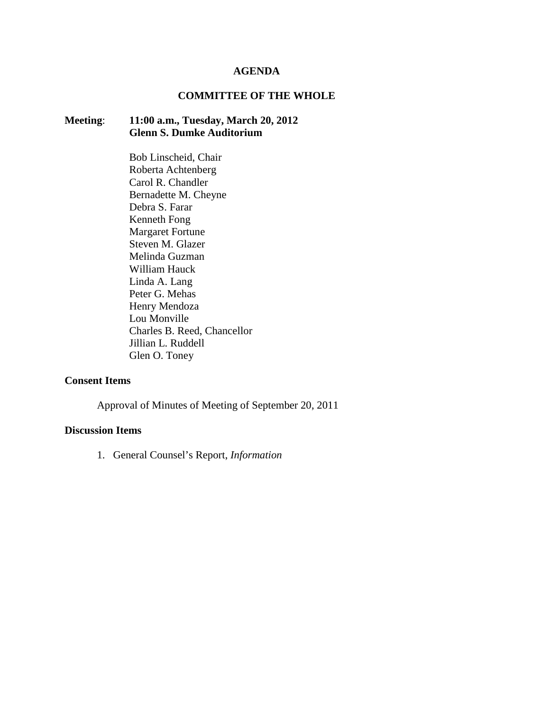#### **AGENDA**

## **COMMITTEE OF THE WHOLE**

# **Meeting**: **11:00 a.m., Tuesday, March 20, 2012 Glenn S. Dumke Auditorium**

Bob Linscheid, Chair Roberta Achtenberg Carol R. Chandler Bernadette M. Cheyne Debra S. Farar Kenneth Fong Margaret Fortune Steven M. Glazer Melinda Guzman William Hauck Linda A. Lang Peter G. Mehas Henry Mendoza Lou Monville Charles B. Reed, Chancellor Jillian L. Ruddell Glen O. Toney

### **Consent Items**

Approval of Minutes of Meeting of September 20, 2011

## **Discussion Items**

1. General Counsel's Report, *Information*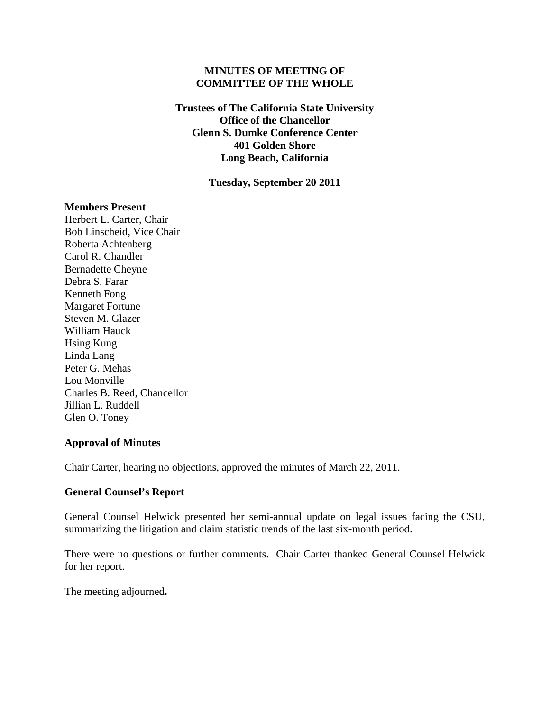## **MINUTES OF MEETING OF COMMITTEE OF THE WHOLE**

**Trustees of The California State University Office of the Chancellor Glenn S. Dumke Conference Center 401 Golden Shore Long Beach, California**

**Tuesday, September 20 2011**

#### **Members Present**

Herbert L. Carter, Chair Bob Linscheid, Vice Chair Roberta Achtenberg Carol R. Chandler Bernadette Cheyne Debra S. Farar Kenneth Fong Margaret Fortune Steven M. Glazer William Hauck Hsing Kung Linda Lang Peter G. Mehas Lou Monville Charles B. Reed, Chancellor Jillian L. Ruddell Glen O. Toney

#### **Approval of Minutes**

Chair Carter, hearing no objections, approved the minutes of March 22, 2011.

## **General Counsel's Report**

General Counsel Helwick presented her semi-annual update on legal issues facing the CSU, summarizing the litigation and claim statistic trends of the last six-month period.

There were no questions or further comments. Chair Carter thanked General Counsel Helwick for her report.

The meeting adjourned**.**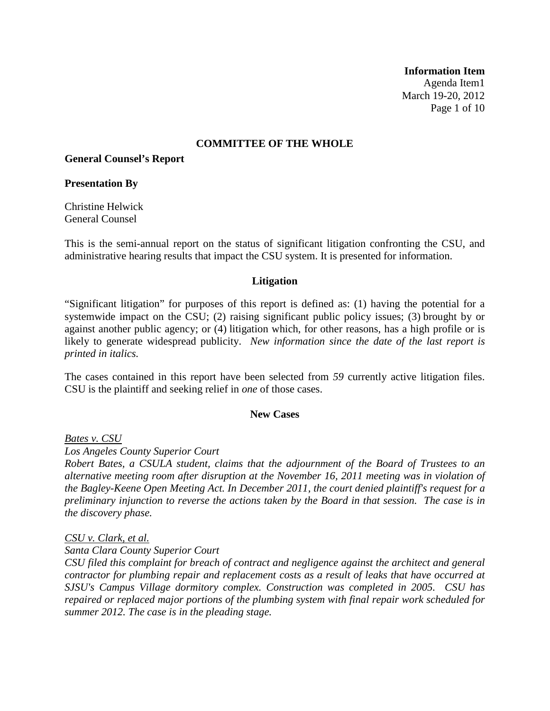**Information Item** Agenda Item1 March 19-20, 2012 Page 1 of 10

## **COMMITTEE OF THE WHOLE**

**General Counsel's Report**

#### **Presentation By**

Christine Helwick General Counsel

This is the semi-annual report on the status of significant litigation confronting the CSU, and administrative hearing results that impact the CSU system. It is presented for information.

#### **Litigation**

"Significant litigation" for purposes of this report is defined as: (1) having the potential for a systemwide impact on the CSU; (2) raising significant public policy issues; (3) brought by or against another public agency; or (4) litigation which, for other reasons, has a high profile or is likely to generate widespread publicity. *New information since the date of the last report is printed in italics.*

The cases contained in this report have been selected from *59* currently active litigation files. CSU is the plaintiff and seeking relief in *one* of those cases.

#### **New Cases**

*Bates v. CSU*

*Los Angeles County Superior Court*

*Robert Bates, a CSULA student, claims that the adjournment of the Board of Trustees to an alternative meeting room after disruption at the November 16, 2011 meeting was in violation of the Bagley-Keene Open Meeting Act. In December 2011, the court denied plaintiff's request for a preliminary injunction to reverse the actions taken by the Board in that session. The case is in the discovery phase.*

#### *CSU v. Clark, et al.*

*Santa Clara County Superior Court*

*CSU filed this complaint for breach of contract and negligence against the architect and general contractor for plumbing repair and replacement costs as a result of leaks that have occurred at SJSU's Campus Village dormitory complex. Construction was completed in 2005. CSU has repaired or replaced major portions of the plumbing system with final repair work scheduled for summer 2012. The case is in the pleading stage.*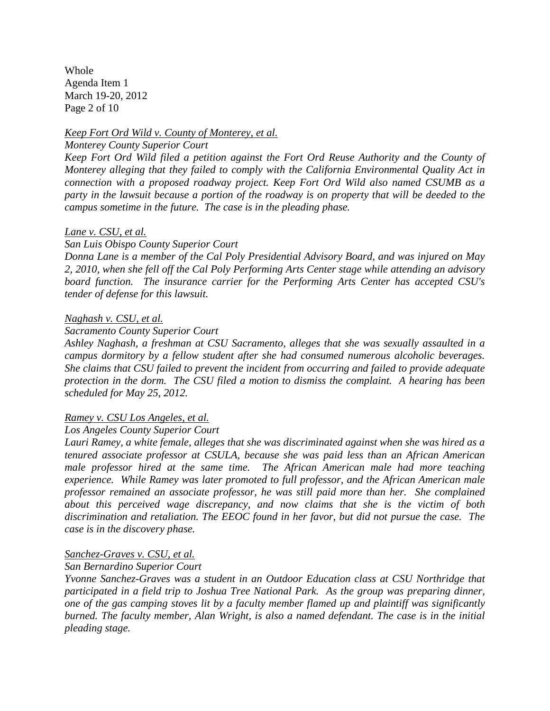Whole Agenda Item 1 March 19-20, 2012 Page 2 of 10

## *Keep Fort Ord Wild v. County of Monterey, et al.*

#### *Monterey County Superior Court*

*Keep Fort Ord Wild filed a petition against the Fort Ord Reuse Authority and the County of Monterey alleging that they failed to comply with the California Environmental Quality Act in connection with a proposed roadway project. Keep Fort Ord Wild also named CSUMB as a party in the lawsuit because a portion of the roadway is on property that will be deeded to the campus sometime in the future. The case is in the pleading phase.*

### *Lane v. CSU, et al.*

#### *San Luis Obispo County Superior Court*

*Donna Lane is a member of the Cal Poly Presidential Advisory Board, and was injured on May 2, 2010, when she fell off the Cal Poly Performing Arts Center stage while attending an advisory board function. The insurance carrier for the Performing Arts Center has accepted CSU's tender of defense for this lawsuit.* 

### *Naghash v. CSU, et al.*

### *Sacramento County Superior Court*

*Ashley Naghash, a freshman at CSU Sacramento, alleges that she was sexually assaulted in a campus dormitory by a fellow student after she had consumed numerous alcoholic beverages. She claims that CSU failed to prevent the incident from occurring and failed to provide adequate protection in the dorm. The CSU filed a motion to dismiss the complaint. A hearing has been scheduled for May 25, 2012.*

## *Ramey v. CSU Los Angeles, et al.*

#### *Los Angeles County Superior Court*

*Lauri Ramey, a white female, alleges that she was discriminated against when she was hired as a tenured associate professor at CSULA, because she was paid less than an African American male professor hired at the same time. The African American male had more teaching experience. While Ramey was later promoted to full professor, and the African American male professor remained an associate professor, he was still paid more than her. She complained about this perceived wage discrepancy, and now claims that she is the victim of both discrimination and retaliation. The EEOC found in her favor, but did not pursue the case. The case is in the discovery phase.*

## *Sanchez-Graves v. CSU, et al.*

## *San Bernardino Superior Court*

*Yvonne Sanchez-Graves was a student in an Outdoor Education class at CSU Northridge that participated in a field trip to Joshua Tree National Park. As the group was preparing dinner, one of the gas camping stoves lit by a faculty member flamed up and plaintiff was significantly burned. The faculty member, Alan Wright, is also a named defendant. The case is in the initial pleading stage.*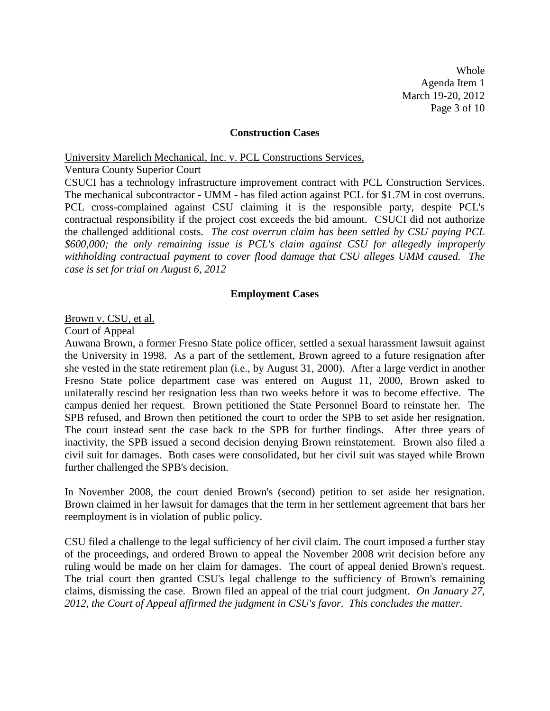Whole Agenda Item 1 March 19-20, 2012 Page 3 of 10

#### **Construction Cases**

University Marelich Mechanical, Inc. v. PCL Constructions Services,

Ventura County Superior Court

CSUCI has a technology infrastructure improvement contract with PCL Construction Services. The mechanical subcontractor - UMM - has filed action against PCL for \$1.7M in cost overruns. PCL cross-complained against CSU claiming it is the responsible party, despite PCL's contractual responsibility if the project cost exceeds the bid amount. CSUCI did not authorize the challenged additional costs. *The cost overrun claim has been settled by CSU paying PCL \$600,000; the only remaining issue is PCL's claim against CSU for allegedly improperly withholding contractual payment to cover flood damage that CSU alleges UMM caused. The case is set for trial on August 6, 2012*

#### **Employment Cases**

Brown v. CSU, et al.

Court of Appeal

Auwana Brown, a former Fresno State police officer, settled a sexual harassment lawsuit against the University in 1998. As a part of the settlement, Brown agreed to a future resignation after she vested in the state retirement plan (i.e., by August 31, 2000). After a large verdict in another Fresno State police department case was entered on August 11, 2000, Brown asked to unilaterally rescind her resignation less than two weeks before it was to become effective. The campus denied her request. Brown petitioned the State Personnel Board to reinstate her. The SPB refused, and Brown then petitioned the court to order the SPB to set aside her resignation. The court instead sent the case back to the SPB for further findings. After three years of inactivity, the SPB issued a second decision denying Brown reinstatement. Brown also filed a civil suit for damages. Both cases were consolidated, but her civil suit was stayed while Brown further challenged the SPB's decision.

In November 2008, the court denied Brown's (second) petition to set aside her resignation. Brown claimed in her lawsuit for damages that the term in her settlement agreement that bars her reemployment is in violation of public policy.

CSU filed a challenge to the legal sufficiency of her civil claim. The court imposed a further stay of the proceedings, and ordered Brown to appeal the November 2008 writ decision before any ruling would be made on her claim for damages. The court of appeal denied Brown's request. The trial court then granted CSU's legal challenge to the sufficiency of Brown's remaining claims, dismissing the case. Brown filed an appeal of the trial court judgment. *On January 27, 2012, the Court of Appeal affirmed the judgment in CSU's favor. This concludes the matter.*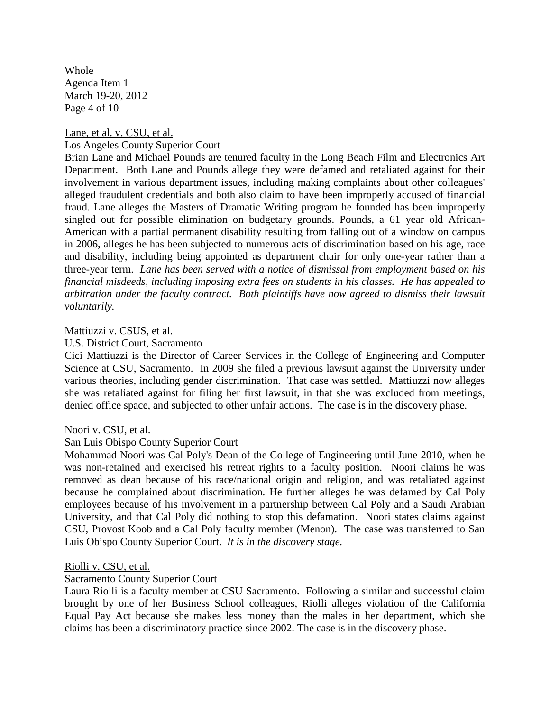Whole Agenda Item 1 March 19-20, 2012 Page 4 of 10

Lane, et al. v. CSU, et al. Los Angeles County Superior Court

Brian Lane and Michael Pounds are tenured faculty in the Long Beach Film and Electronics Art Department. Both Lane and Pounds allege they were defamed and retaliated against for their involvement in various department issues, including making complaints about other colleagues' alleged fraudulent credentials and both also claim to have been improperly accused of financial fraud. Lane alleges the Masters of Dramatic Writing program he founded has been improperly singled out for possible elimination on budgetary grounds. Pounds, a 61 year old African-American with a partial permanent disability resulting from falling out of a window on campus in 2006, alleges he has been subjected to numerous acts of discrimination based on his age, race and disability, including being appointed as department chair for only one-year rather than a three-year term. *Lane has been served with a notice of dismissal from employment based on his financial misdeeds, including imposing extra fees on students in his classes. He has appealed to arbitration under the faculty contract. Both plaintiffs have now agreed to dismiss their lawsuit voluntarily.*

## Mattiuzzi v. CSUS, et al.

### U.S. District Court, Sacramento

Cici Mattiuzzi is the Director of Career Services in the College of Engineering and Computer Science at CSU, Sacramento. In 2009 she filed a previous lawsuit against the University under various theories, including gender discrimination. That case was settled. Mattiuzzi now alleges she was retaliated against for filing her first lawsuit, in that she was excluded from meetings, denied office space, and subjected to other unfair actions. The case is in the discovery phase.

## Noori v. CSU, et al.

## San Luis Obispo County Superior Court

Mohammad Noori was Cal Poly's Dean of the College of Engineering until June 2010, when he was non-retained and exercised his retreat rights to a faculty position. Noori claims he was removed as dean because of his race/national origin and religion, and was retaliated against because he complained about discrimination. He further alleges he was defamed by Cal Poly employees because of his involvement in a partnership between Cal Poly and a Saudi Arabian University, and that Cal Poly did nothing to stop this defamation. Noori states claims against CSU, Provost Koob and a Cal Poly faculty member (Menon). The case was transferred to San Luis Obispo County Superior Court. *It is in the discovery stage.*

#### Riolli v. CSU, et al.

#### Sacramento County Superior Court

Laura Riolli is a faculty member at CSU Sacramento. Following a similar and successful claim brought by one of her Business School colleagues, Riolli alleges violation of the California Equal Pay Act because she makes less money than the males in her department, which she claims has been a discriminatory practice since 2002. The case is in the discovery phase.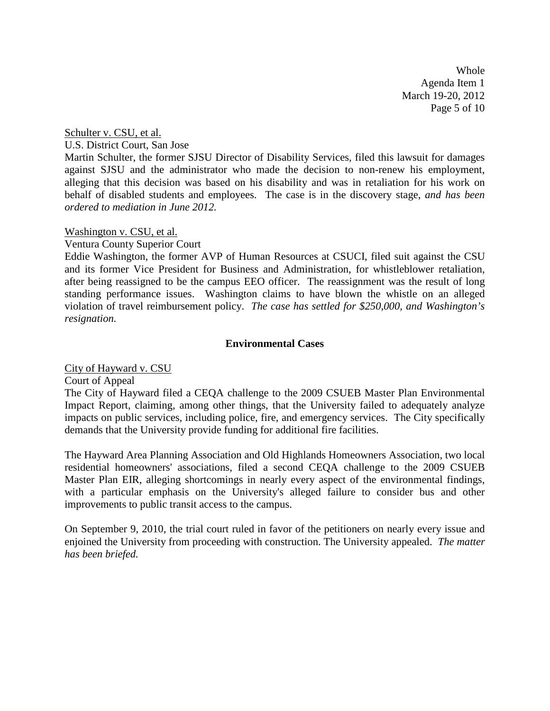Whole Agenda Item 1 March 19-20, 2012 Page 5 of 10

Schulter v. CSU, et al.

U.S. District Court, San Jose

Martin Schulter, the former SJSU Director of Disability Services, filed this lawsuit for damages against SJSU and the administrator who made the decision to non-renew his employment, alleging that this decision was based on his disability and was in retaliation for his work on behalf of disabled students and employees. The case is in the discovery stage, *and has been ordered to mediation in June 2012.*

#### Washington v. CSU, et al.

Ventura County Superior Court

Eddie Washington, the former AVP of Human Resources at CSUCI, filed suit against the CSU and its former Vice President for Business and Administration, for whistleblower retaliation, after being reassigned to be the campus EEO officer. The reassignment was the result of long standing performance issues. Washington claims to have blown the whistle on an alleged violation of travel reimbursement policy. *The case has settled for \$250,000, and Washington's resignation.*

### **Environmental Cases**

City of Hayward v. CSU

Court of Appeal

The City of Hayward filed a CEQA challenge to the 2009 CSUEB Master Plan Environmental Impact Report, claiming, among other things, that the University failed to adequately analyze impacts on public services, including police, fire, and emergency services. The City specifically demands that the University provide funding for additional fire facilities.

The Hayward Area Planning Association and Old Highlands Homeowners Association, two local residential homeowners' associations, filed a second CEQA challenge to the 2009 CSUEB Master Plan EIR, alleging shortcomings in nearly every aspect of the environmental findings, with a particular emphasis on the University's alleged failure to consider bus and other improvements to public transit access to the campus.

On September 9, 2010, the trial court ruled in favor of the petitioners on nearly every issue and enjoined the University from proceeding with construction. The University appealed. *The matter has been briefed.*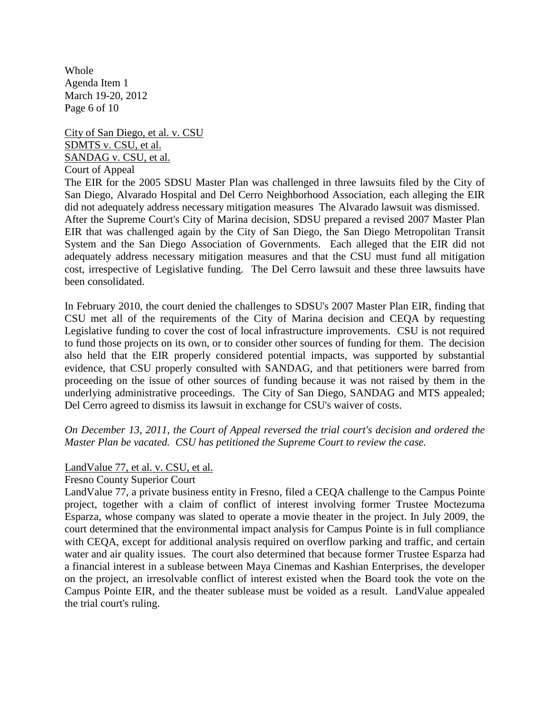Whole Agenda Item 1 March 19-20, 2012 Page 6 of 10

City of San Diego, et al. v. CSU SDMTS v. CSU, et al. SANDAG v. CSU, et al. Court of Appeal

The EIR for the 2005 SDSU Master Plan was challenged in three lawsuits filed by the City of San Diego, Alvarado Hospital and Del Cerro Neighborhood Association, each alleging the EIR did not adequately address necessary mitigation measures The Alvarado lawsuit was dismissed. After the Supreme Court's City of Marina decision, SDSU prepared a revised 2007 Master Plan EIR that was challenged again by the City of San Diego, the San Diego Metropolitan Transit System and the San Diego Association of Governments. Each alleged that the EIR did not adequately address necessary mitigation measures and that the CSU must fund all mitigation cost, irrespective of Legislative funding. The Del Cerro lawsuit and these three lawsuits have been consolidated.

In February 2010, the court denied the challenges to SDSU's 2007 Master Plan EIR, finding that CSU met all of the requirements of the City of Marina decision and CEQA by requesting Legislative funding to cover the cost of local infrastructure improvements. CSU is not required to fund those projects on its own, or to consider other sources of funding for them. The decision also held that the EIR properly considered potential impacts, was supported by substantial evidence, that CSU properly consulted with SANDAG, and that petitioners were barred from proceeding on the issue of other sources of funding because it was not raised by them in the underlying administrative proceedings. The City of San Diego, SANDAG and MTS appealed; Del Cerro agreed to dismiss its lawsuit in exchange for CSU's waiver of costs.

*On December 13, 2011, the Court of Appeal reversed the trial court's decision and ordered the Master Plan be vacated. CSU has petitioned the Supreme Court to review the case.*

## LandValue 77, et al. v. CSU, et al.

#### Fresno County Superior Court

LandValue 77, a private business entity in Fresno, filed a CEQA challenge to the Campus Pointe project, together with a claim of conflict of interest involving former Trustee Moctezuma Esparza, whose company was slated to operate a movie theater in the project. In July 2009, the court determined that the environmental impact analysis for Campus Pointe is in full compliance with CEQA, except for additional analysis required on overflow parking and traffic, and certain water and air quality issues. The court also determined that because former Trustee Esparza had a financial interest in a sublease between Maya Cinemas and Kashian Enterprises, the developer on the project, an irresolvable conflict of interest existed when the Board took the vote on the Campus Pointe EIR, and the theater sublease must be voided as a result. LandValue appealed the trial court's ruling.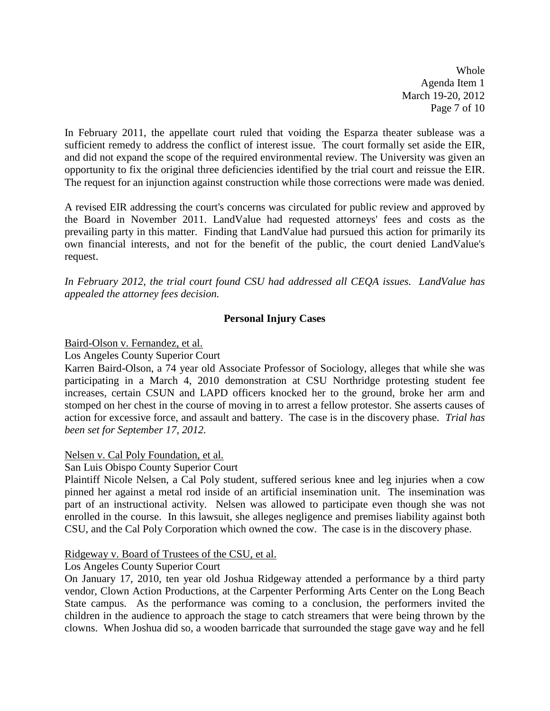Whole Agenda Item 1 March 19-20, 2012 Page 7 of 10

In February 2011, the appellate court ruled that voiding the Esparza theater sublease was a sufficient remedy to address the conflict of interest issue. The court formally set aside the EIR, and did not expand the scope of the required environmental review. The University was given an opportunity to fix the original three deficiencies identified by the trial court and reissue the EIR. The request for an injunction against construction while those corrections were made was denied.

A revised EIR addressing the court's concerns was circulated for public review and approved by the Board in November 2011. LandValue had requested attorneys' fees and costs as the prevailing party in this matter. Finding that LandValue had pursued this action for primarily its own financial interests, and not for the benefit of the public, the court denied LandValue's request.

*In February 2012, the trial court found CSU had addressed all CEQA issues. LandValue has appealed the attorney fees decision.*

# **Personal Injury Cases**

Baird-Olson v. Fernandez, et al.

Los Angeles County Superior Court

Karren Baird-Olson, a 74 year old Associate Professor of Sociology, alleges that while she was participating in a March 4, 2010 demonstration at CSU Northridge protesting student fee increases, certain CSUN and LAPD officers knocked her to the ground, broke her arm and stomped on her chest in the course of moving in to arrest a fellow protestor. She asserts causes of action for excessive force, and assault and battery. The case is in the discovery phase. *Trial has been set for September 17, 2012.*

## Nelsen v. Cal Poly Foundation, et al.

San Luis Obispo County Superior Court

Plaintiff Nicole Nelsen, a Cal Poly student, suffered serious knee and leg injuries when a cow pinned her against a metal rod inside of an artificial insemination unit. The insemination was part of an instructional activity. Nelsen was allowed to participate even though she was not enrolled in the course. In this lawsuit, she alleges negligence and premises liability against both CSU, and the Cal Poly Corporation which owned the cow. The case is in the discovery phase.

#### Ridgeway v. Board of Trustees of the CSU, et al.

## Los Angeles County Superior Court

On January 17, 2010, ten year old Joshua Ridgeway attended a performance by a third party vendor, Clown Action Productions, at the Carpenter Performing Arts Center on the Long Beach State campus. As the performance was coming to a conclusion, the performers invited the children in the audience to approach the stage to catch streamers that were being thrown by the clowns. When Joshua did so, a wooden barricade that surrounded the stage gave way and he fell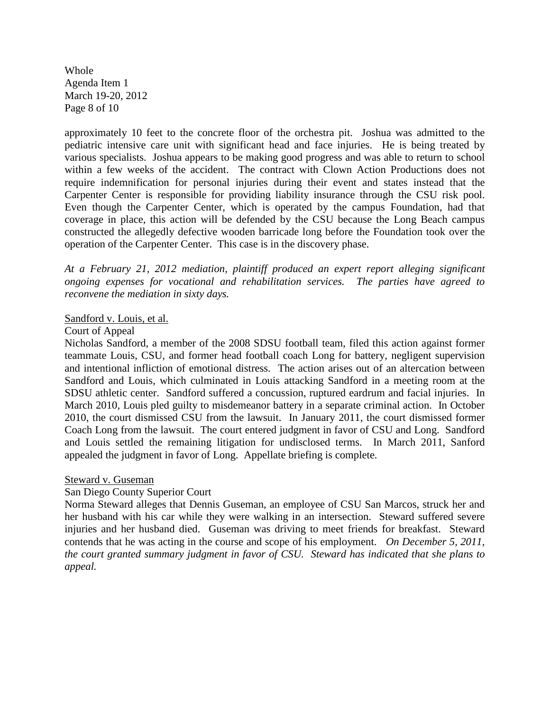Whole Agenda Item 1 March 19-20, 2012 Page 8 of 10

approximately 10 feet to the concrete floor of the orchestra pit. Joshua was admitted to the pediatric intensive care unit with significant head and face injuries. He is being treated by various specialists. Joshua appears to be making good progress and was able to return to school within a few weeks of the accident. The contract with Clown Action Productions does not require indemnification for personal injuries during their event and states instead that the Carpenter Center is responsible for providing liability insurance through the CSU risk pool. Even though the Carpenter Center, which is operated by the campus Foundation, had that coverage in place, this action will be defended by the CSU because the Long Beach campus constructed the allegedly defective wooden barricade long before the Foundation took over the operation of the Carpenter Center. This case is in the discovery phase.

*At a February 21, 2012 mediation, plaintiff produced an expert report alleging significant ongoing expenses for vocational and rehabilitation services. The parties have agreed to reconvene the mediation in sixty days.*

## Sandford v. Louis, et al.

### Court of Appeal

Nicholas Sandford, a member of the 2008 SDSU football team, filed this action against former teammate Louis, CSU, and former head football coach Long for battery, negligent supervision and intentional infliction of emotional distress. The action arises out of an altercation between Sandford and Louis, which culminated in Louis attacking Sandford in a meeting room at the SDSU athletic center. Sandford suffered a concussion, ruptured eardrum and facial injuries. In March 2010, Louis pled guilty to misdemeanor battery in a separate criminal action. In October 2010, the court dismissed CSU from the lawsuit. In January 2011, the court dismissed former Coach Long from the lawsuit. The court entered judgment in favor of CSU and Long. Sandford and Louis settled the remaining litigation for undisclosed terms. In March 2011, Sanford appealed the judgment in favor of Long. Appellate briefing is complete.

#### Steward v. Guseman

## San Diego County Superior Court

Norma Steward alleges that Dennis Guseman, an employee of CSU San Marcos, struck her and her husband with his car while they were walking in an intersection. Steward suffered severe injuries and her husband died. Guseman was driving to meet friends for breakfast. Steward contends that he was acting in the course and scope of his employment. *On December 5, 2011, the court granted summary judgment in favor of CSU. Steward has indicated that she plans to appeal.*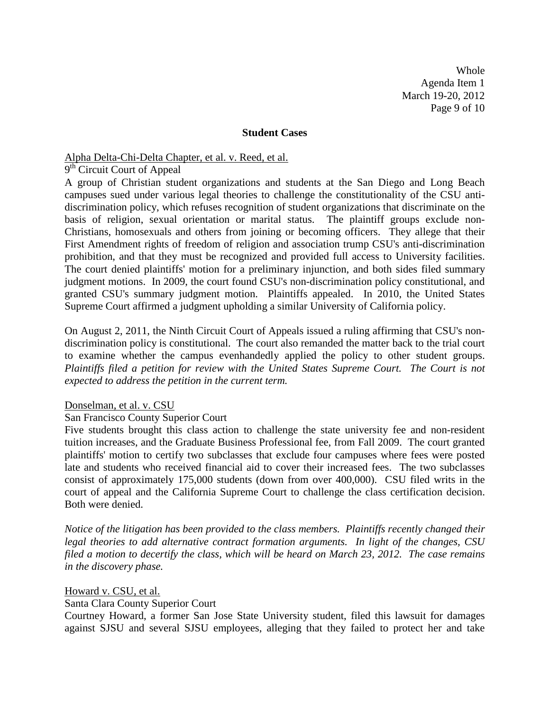Whole Agenda Item 1 March 19-20, 2012 Page 9 of 10

#### **Student Cases**

# Alpha Delta-Chi-Delta Chapter, et al. v. Reed, et al.

9<sup>th</sup> Circuit Court of Appeal

A group of Christian student organizations and students at the San Diego and Long Beach campuses sued under various legal theories to challenge the constitutionality of the CSU antidiscrimination policy, which refuses recognition of student organizations that discriminate on the basis of religion, sexual orientation or marital status. The plaintiff groups exclude non-Christians, homosexuals and others from joining or becoming officers. They allege that their First Amendment rights of freedom of religion and association trump CSU's anti-discrimination prohibition, and that they must be recognized and provided full access to University facilities. The court denied plaintiffs' motion for a preliminary injunction, and both sides filed summary judgment motions. In 2009, the court found CSU's non-discrimination policy constitutional, and granted CSU's summary judgment motion. Plaintiffs appealed. In 2010, the United States Supreme Court affirmed a judgment upholding a similar University of California policy.

On August 2, 2011, the Ninth Circuit Court of Appeals issued a ruling affirming that CSU's nondiscrimination policy is constitutional. The court also remanded the matter back to the trial court to examine whether the campus evenhandedly applied the policy to other student groups. *Plaintiffs filed a petition for review with the United States Supreme Court. The Court is not expected to address the petition in the current term.*

#### Donselman, et al. v. CSU

#### San Francisco County Superior Court

Five students brought this class action to challenge the state university fee and non-resident tuition increases, and the Graduate Business Professional fee, from Fall 2009. The court granted plaintiffs' motion to certify two subclasses that exclude four campuses where fees were posted late and students who received financial aid to cover their increased fees. The two subclasses consist of approximately 175,000 students (down from over 400,000). CSU filed writs in the court of appeal and the California Supreme Court to challenge the class certification decision. Both were denied.

*Notice of the litigation has been provided to the class members. Plaintiffs recently changed their legal theories to add alternative contract formation arguments. In light of the changes, CSU filed a motion to decertify the class, which will be heard on March 23, 2012. The case remains in the discovery phase.*

#### Howard v. CSU, et al.

### Santa Clara County Superior Court

Courtney Howard, a former San Jose State University student, filed this lawsuit for damages against SJSU and several SJSU employees, alleging that they failed to protect her and take